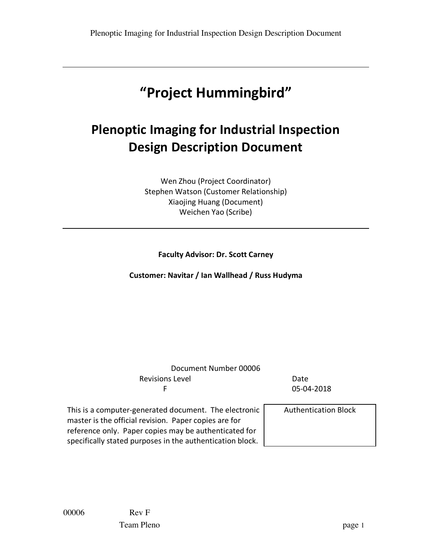# **"Project Hummingbird"**

# **Plenoptic Imaging for Industrial Inspection Design Description Document**

Wen Zhou (Project Coordinator) Stephen Watson (Customer Relationship) Xiaojing Huang (Document) Weichen Yao (Scribe)

**Faculty Advisor: Dr. Scott Carney**

**Customer: Navitar / Ian Wallhead / Russ Hudyma**

Document Number 00006 Revisions Level **Date** F 05-04-2018

This is a computer-generated document. The electronic master is the official revision. Paper copies are for reference only. Paper copies may be authenticated for specifically stated purposes in the authentication block.

Authentication Block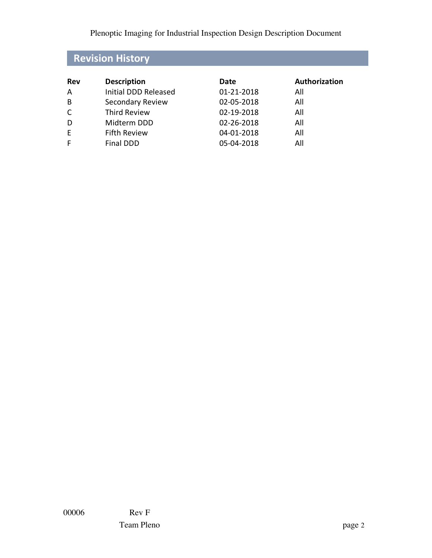## **Revision History**

| Rev | <b>Description</b>   | Date       | Authorization |
|-----|----------------------|------------|---------------|
| A   | Initial DDD Released | 01-21-2018 | All           |
| B   | Secondary Review     | 02-05-2018 | All           |
| C   | <b>Third Review</b>  | 02-19-2018 | All           |
| D   | Midterm DDD          | 02-26-2018 | All           |
| E   | <b>Fifth Review</b>  | 04-01-2018 | All           |
|     | <b>Final DDD</b>     | 05-04-2018 | All           |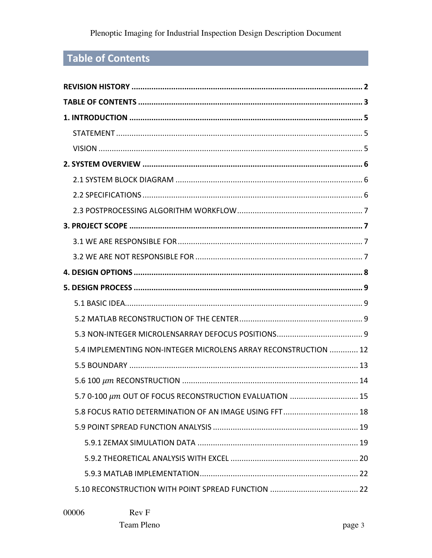## **Table of Contents**

| 5.4 IMPLEMENTING NON-INTEGER MICROLENS ARRAY RECONSTRUCTION  12 |
|-----------------------------------------------------------------|
|                                                                 |
|                                                                 |
| 5.7 0-100 $\mu$ m OUT OF FOCUS RECONSTRUCTION EVALUATION  15    |
| 5.8 FOCUS RATIO DETERMINATION OF AN IMAGE USING FFT 18          |
|                                                                 |
|                                                                 |
|                                                                 |
|                                                                 |
|                                                                 |

00006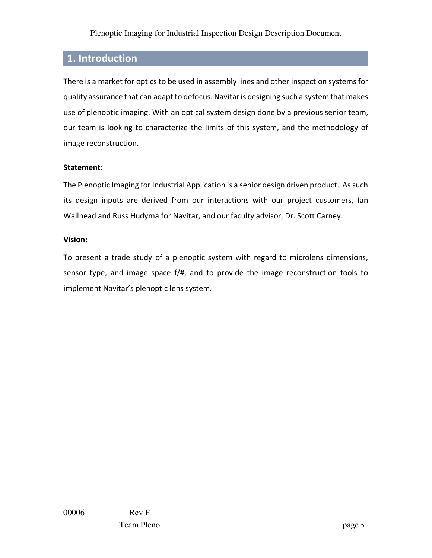## **1. Introduction**

There is a market for optics to be used in assembly lines and other inspection systems for quality assurance that can adapt to defocus. Navitar is designing such a system that makes use of plenoptic imaging. With an optical system design done by a previous senior team, our team is looking to characterize the limits of this system, and the methodology of image reconstruction.

#### **Statement:**

The Plenoptic Imaging for Industrial Application is a senior design driven product. As such its design inputs are derived from our interactions with our project customers, Ian Wallhead and Russ Hudyma for Navitar, and our faculty advisor, Dr. Scott Carney.

#### **Vision:**

To present a trade study of a plenoptic system with regard to microlens dimensions, sensor type, and image space f/#, and to provide the image reconstruction tools to implement Navitar's plenoptic lens system.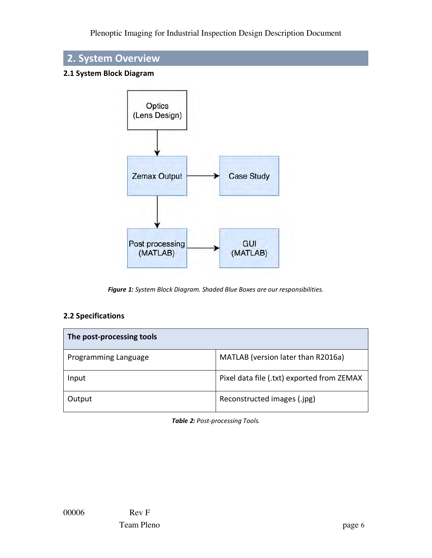

#### **2.1 System Block Diagram**



*Figure 1: System Block Diagram. Shaded Blue Boxes are our responsibilities.*

#### **2.2 Specifications**

| The post-processing tools |                                            |  |  |  |  |  |  |  |
|---------------------------|--------------------------------------------|--|--|--|--|--|--|--|
| Programming Language      | MATLAB (version later than R2016a)         |  |  |  |  |  |  |  |
| Input                     | Pixel data file (.txt) exported from ZEMAX |  |  |  |  |  |  |  |
| Output                    | Reconstructed images (.jpg)                |  |  |  |  |  |  |  |

*Table 2: Post-processing Tools.*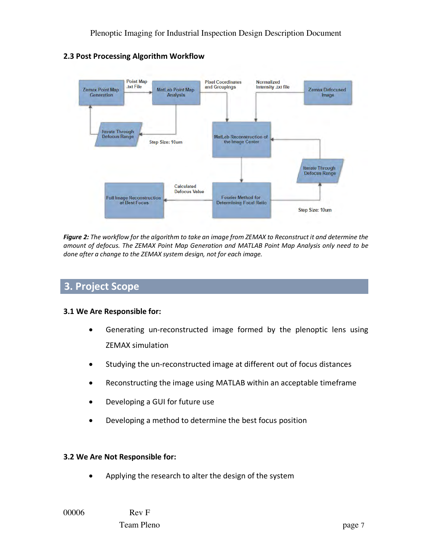

**2.3 Post Processing Algorithm Workflow**

*Figure 2: The workflow for the algorithm to take an image from ZEMAX to Reconstruct it and determine the amount of defocus. The ZEMAX Point Map Generation and MATLAB Point Map Analysis only need to be done after a change to the ZEMAX system design, not for each image.*

## **3. Project Scope**

#### **3.1 We Are Responsible for:**

- Generating un-reconstructed image formed by the plenoptic lens using ZEMAX simulation
- Studying the un-reconstructed image at different out of focus distances
- Reconstructing the image using MATLAB within an acceptable timeframe
- Developing a GUI for future use
- Developing a method to determine the best focus position

#### **3.2 We Are Not Responsible for:**

• Applying the research to alter the design of the system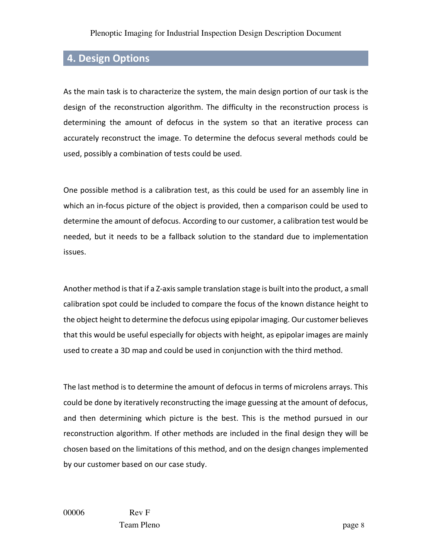## **4. Design Options**

As the main task is to characterize the system, the main design portion of our task is the design of the reconstruction algorithm. The difficulty in the reconstruction process is determining the amount of defocus in the system so that an iterative process can accurately reconstruct the image. To determine the defocus several methods could be used, possibly a combination of tests could be used.

One possible method is a calibration test, as this could be used for an assembly line in which an in-focus picture of the object is provided, then a comparison could be used to determine the amount of defocus. According to our customer, a calibration test would be needed, but it needs to be a fallback solution to the standard due to implementation issues.

Another method is that if a Z-axis sample translation stage is built into the product, a small calibration spot could be included to compare the focus of the known distance height to the object height to determine the defocus using epipolar imaging. Our customer believes that this would be useful especially for objects with height, as epipolar images are mainly used to create a 3D map and could be used in conjunction with the third method.

The last method is to determine the amount of defocus in terms of microlens arrays. This could be done by iteratively reconstructing the image guessing at the amount of defocus, and then determining which picture is the best. This is the method pursued in our reconstruction algorithm. If other methods are included in the final design they will be chosen based on the limitations of this method, and on the design changes implemented by our customer based on our case study.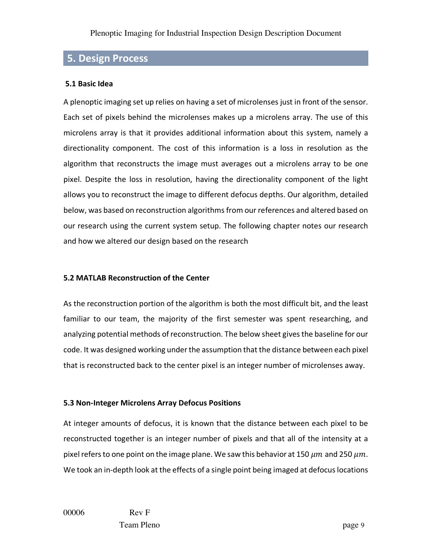## **5. Design Process**

#### **5.1 Basic Idea**

A plenoptic imaging set up relies on having a set of microlenses just in front of the sensor. Each set of pixels behind the microlenses makes up a microlens array. The use of this microlens array is that it provides additional information about this system, namely a directionality component. The cost of this information is a loss in resolution as the algorithm that reconstructs the image must averages out a microlens array to be one pixel. Despite the loss in resolution, having the directionality component of the light allows you to reconstruct the image to different defocus depths. Our algorithm, detailed below, was based on reconstruction algorithms from our references and altered based on our research using the current system setup. The following chapter notes our research and how we altered our design based on the research

#### **5.2 MATLAB Reconstruction of the Center**

As the reconstruction portion of the algorithm is both the most difficult bit, and the least familiar to our team, the majority of the first semester was spent researching, and analyzing potential methods of reconstruction. The below sheet gives the baseline for our code. It was designed working under the assumption that the distance between each pixel that is reconstructed back to the center pixel is an integer number of microlenses away.

#### **5.3 Non-Integer Microlens Array Defocus Positions**

At integer amounts of defocus, it is known that the distance between each pixel to be reconstructed together is an integer number of pixels and that all of the intensity at a pixel refers to one point on the image plane. We saw this behavior at 150  $\mu$ m and 250  $\mu$ m. We took an in-depth look at the effects of a single point being imaged at defocus locations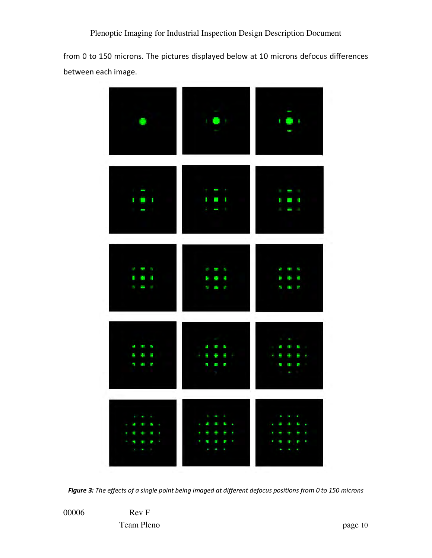from 0 to 150 microns. The pictures displayed below at 10 microns defocus differences between each image.



*Figure 3: The effects of a single point being imaged at different defocus positions from 0 to 150 microns*

00006 Rev F Team Pleno page 10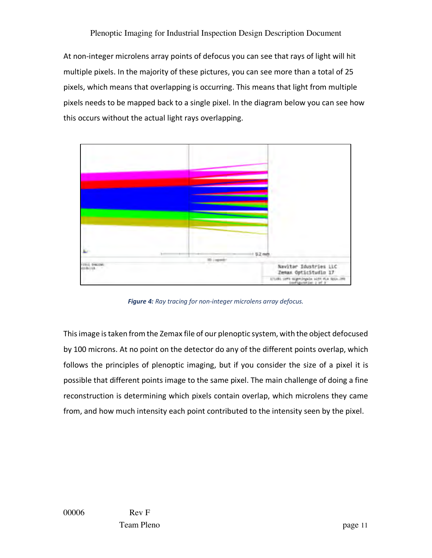At non-integer microlens array points of defocus you can see that rays of light will hit multiple pixels. In the majority of these pictures, you can see more than a total of 25 pixels, which means that overlapping is occurring. This means that light from multiple pixels needs to be mapped back to a single pixel. In the diagram below you can see how this occurs without the actual light rays overlapping.



*Figure 4: Ray tracing for non-integer microlens array defocus.*

This image is taken from the Zemax file of our plenoptic system, with the object defocused by 100 microns. At no point on the detector do any of the different points overlap, which follows the principles of plenoptic imaging, but if you consider the size of a pixel it is possible that different points image to the same pixel. The main challenge of doing a fine reconstruction is determining which pixels contain overlap, which microlens they came from, and how much intensity each point contributed to the intensity seen by the pixel.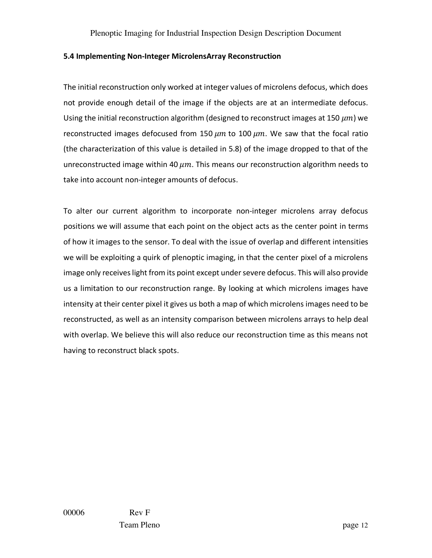#### **5.4 Implementing Non-Integer MicrolensArray Reconstruction**

The initial reconstruction only worked at integer values of microlens defocus, which does not provide enough detail of the image if the objects are at an intermediate defocus. Using the initial reconstruction algorithm (designed to reconstruct images at 150  $\mu$ m) we reconstructed images defocused from 150  $\mu$ m to 100  $\mu$ m. We saw that the focal ratio (the characterization of this value is detailed in 5.8) of the image dropped to that of the unreconstructed image within 40  $\mu$ m. This means our reconstruction algorithm needs to take into account non-integer amounts of defocus.

To alter our current algorithm to incorporate non-integer microlens array defocus positions we will assume that each point on the object acts as the center point in terms of how it images to the sensor. To deal with the issue of overlap and different intensities we will be exploiting a quirk of plenoptic imaging, in that the center pixel of a microlens image only receives light from its point except under severe defocus. This will also provide us a limitation to our reconstruction range. By looking at which microlens images have intensity at their center pixel it gives us both a map of which microlens images need to be reconstructed, as well as an intensity comparison between microlens arrays to help deal with overlap. We believe this will also reduce our reconstruction time as this means not having to reconstruct black spots.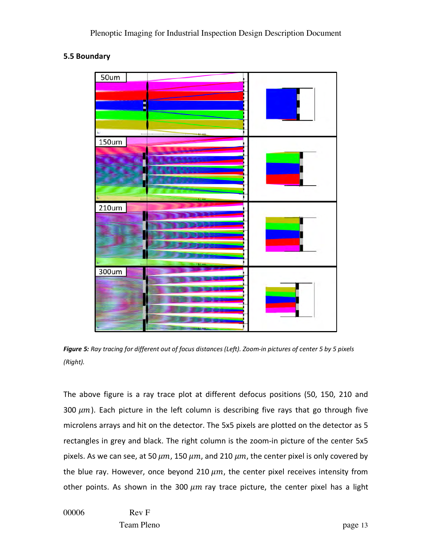#### **5.5 Boundary**



*Figure 5: Ray tracing for different out of focus distances (Left). Zoom-in pictures of center 5 by 5 pixels (Right).*

The above figure is a ray trace plot at different defocus positions (50, 150, 210 and 300  $\mu$ m). Each picture in the left column is describing five rays that go through five microlens arrays and hit on the detector. The 5x5 pixels are plotted on the detector as 5 rectangles in grey and black. The right column is the zoom-in picture of the center 5x5 pixels. As we can see, at 50  $\mu$ m, 150  $\mu$ m, and 210  $\mu$ m, the center pixel is only covered by the blue ray. However, once beyond 210  $\mu$ m, the center pixel receives intensity from other points. As shown in the 300  $\mu$ m ray trace picture, the center pixel has a light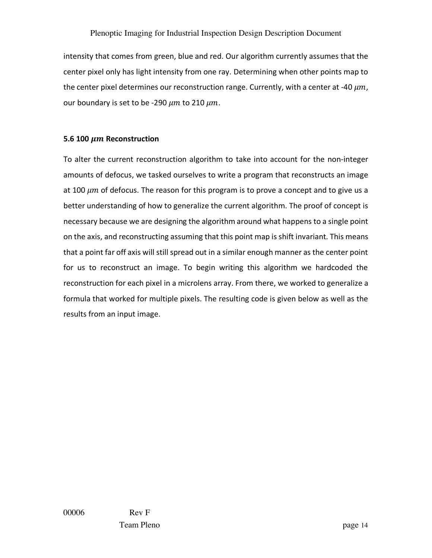intensity that comes from green, blue and red. Our algorithm currently assumes that the center pixel only has light intensity from one ray. Determining when other points map to the center pixel determines our reconstruction range. Currently, with a center at -40  $\mu m$ , our boundary is set to be -290  $\mu$ m to 210  $\mu$ m.

#### **5.6 100**  $\mu$ **m Reconstruction**

To alter the current reconstruction algorithm to take into account for the non-integer amounts of defocus, we tasked ourselves to write a program that reconstructs an image at 100  $\mu$ m of defocus. The reason for this program is to prove a concept and to give us a better understanding of how to generalize the current algorithm. The proof of concept is necessary because we are designing the algorithm around what happens to a single point on the axis, and reconstructing assuming that this point map is shift invariant. This means that a point far off axis will still spread out in a similar enough manner as the center point for us to reconstruct an image. To begin writing this algorithm we hardcoded the reconstruction for each pixel in a microlens array. From there, we worked to generalize a formula that worked for multiple pixels. The resulting code is given below as well as the results from an input image.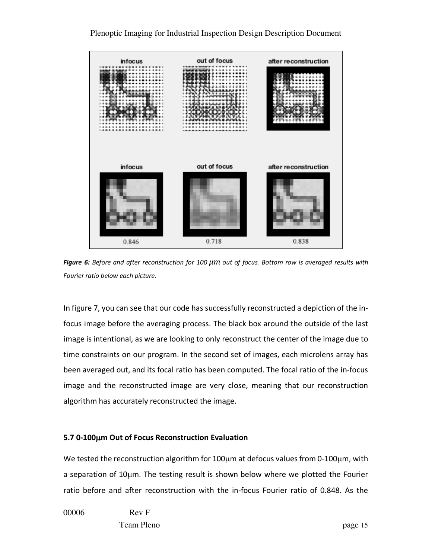

Plenoptic Imaging for Industrial Inspection Design Description Document

*Figure 6: Before and after reconstruction for 100 μm out of focus. Bottom row is averaged results with Fourier ratio below each picture.*

In figure 7, you can see that our code has successfully reconstructed a depiction of the infocus image before the averaging process. The black box around the outside of the last image is intentional, as we are looking to only reconstruct the center of the image due to time constraints on our program. In the second set of images, each microlens array has been averaged out, and its focal ratio has been computed. The focal ratio of the in-focus image and the reconstructed image are very close, meaning that our reconstruction algorithm has accurately reconstructed the image.

#### **5.7 0-100**µ**m Out of Focus Reconstruction Evaluation**

We tested the reconstruction algorithm for 100µm at defocus values from 0-100µm, with a separation of 10µm. The testing result is shown below where we plotted the Fourier ratio before and after reconstruction with the in-focus Fourier ratio of 0.848. As the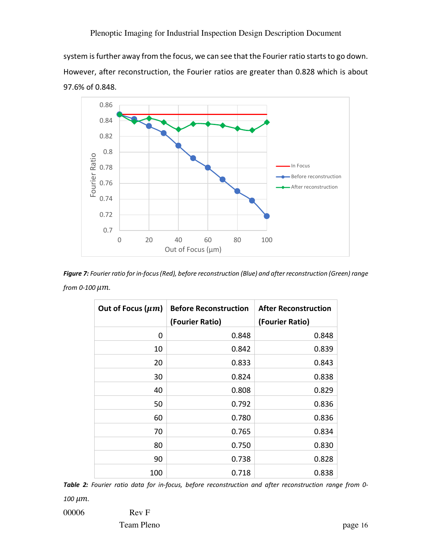system is further away from the focus, we can see that the Fourier ratio starts to go down. However, after reconstruction, the Fourier ratios are greater than 0.828 which is about 97.6% of 0.848.



*Figure 7: Fourier ratio for in-focus (Red), before reconstruction (Blue) and after reconstruction (Green) range from 0-100*  $\mu$ *m.* 

| Out of Focus $(\mu m)$ | <b>Before Reconstruction</b><br>(Fourier Ratio) | <b>After Reconstruction</b><br>(Fourier Ratio) |
|------------------------|-------------------------------------------------|------------------------------------------------|
| 0                      | 0.848                                           | 0.848                                          |
| 10                     | 0.842                                           | 0.839                                          |
| 20                     | 0.833                                           | 0.843                                          |
| 30                     | 0.824                                           | 0.838                                          |
| 40                     | 0.808                                           | 0.829                                          |
| 50                     | 0.792                                           | 0.836                                          |
| 60                     | 0.780                                           | 0.836                                          |
| 70                     | 0.765                                           | 0.834                                          |
| 80                     | 0.750                                           | 0.830                                          |
| 90                     | 0.738                                           | 0.828                                          |
| 100                    | 0.718                                           | 0.838                                          |

*Table 2: Fourier ratio data for in-focus, before reconstruction and after reconstruction range from 0-*

*100 µm.* 

00006 Rev F

Team Pleno page 16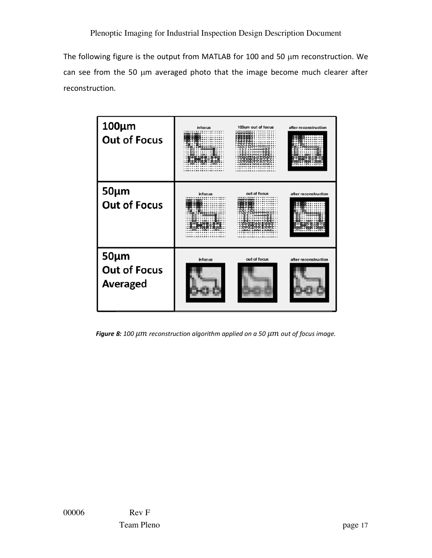The following figure is the output from MATLAB for 100 and 50 µm reconstruction. We can see from the 50 µm averaged photo that the image become much clearer after reconstruction.

| $100 \mu m$<br><b>Out of Focus</b>                   | infocus | 100um out of focus | after reconstruction |
|------------------------------------------------------|---------|--------------------|----------------------|
| $50 \mu m$<br><b>Out of Focus</b>                    | infocus | out of focus       | after reconstruction |
| $50 \mu m$<br><b>Out of Focus</b><br><b>Averaged</b> | infocus | out of focus       | after reconstruction |

Figure 8: 100  $\mu$ m reconstruction algorithm applied on a 50  $\mu$ m out of focus image.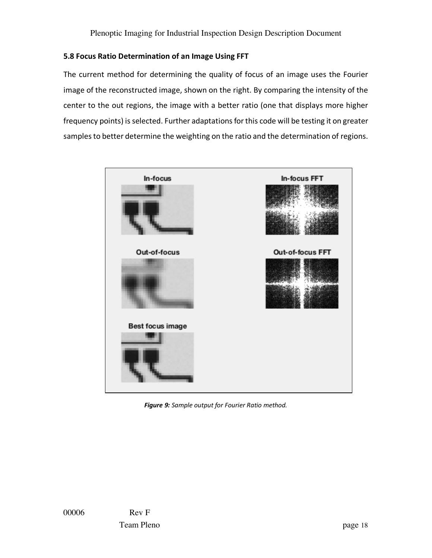### **5.8 Focus Ratio Determination of an Image Using FFT**

The current method for determining the quality of focus of an image uses the Fourier image of the reconstructed image, shown on the right. By comparing the intensity of the center to the out regions, the image with a better ratio (one that displays more higher frequency points) is selected. Further adaptations for this code will be testing it on greater samples to better determine the weighting on the ratio and the determination of regions.



*Figure 9: Sample output for Fourier Ratio method.*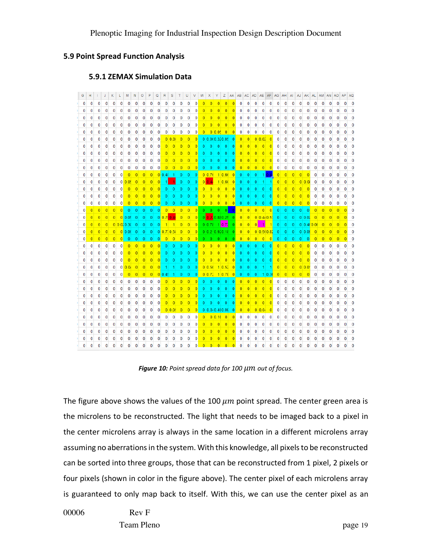#### **5.9 Point Spread Function Analysis**

#### **5.9.1 ZEMAX Simulation Data**

| G            |          |                |                |                |                |                |                | O              |                | Ō              | R              | s              |                |                 |                 |                |                          |                | z                        |                 |                 |                 |                 | AA AB AC AD AE AF AG AH |                |                |                | A              | AJ             | AK              |                | AL AM AN AO    |                |                |   | AQ           |
|--------------|----------|----------------|----------------|----------------|----------------|----------------|----------------|----------------|----------------|----------------|----------------|----------------|----------------|-----------------|-----------------|----------------|--------------------------|----------------|--------------------------|-----------------|-----------------|-----------------|-----------------|-------------------------|----------------|----------------|----------------|----------------|----------------|-----------------|----------------|----------------|----------------|----------------|---|--------------|
|              |          | 0              | 0              | 0              | 0              | 0              | 0              | 0              | 0              | 0              | 0              | $\bf{0}$       | $\bf{0}$       | $\mathbf{0}$    | $\mathbf{0}$    | $\Omega$       | $\Omega$                 | $\Omega$       | $\Omega$                 | $\Omega$        | $\mathbf{0}$    | $\bf{0}$        | $\bf{0}$        | 0                       | $\bf{0}$       | 0              | 0              | 0              | 0              | 0               | o              | 0              | 0              | 0              |   |              |
|              |          |                | 0              | 0              | 0              | $\bf{0}$       | $\bf{0}$       | 0              |                |                | 0              | 0              | 0              | $\bf{0}$        | $\bf{0}$        |                |                          |                |                          |                 | 0               | $\mathbf{0}$    | 0               | 0                       | $\Omega$       | 0              |                |                |                | 0               |                |                |                |                |   |              |
| $\Omega$     | 0        | $\bf{0}$       | 0              | 0              | 0              | 0              | 0              | 0              | 0              | 0              | $\mathbf{0}$   | $\mathbf 0$    | 0              | 0               | $\mathbf{0}$    |                | $\overline{0}$           |                | $\Omega$                 |                 | $\mathbf{0}$    | 0               | 0               | 0                       | 0              | 0              | 0              | 0              | 0              | 0               | 0              | $\bf{0}$       | 0              | 0              | 0 | 0            |
| 0            | $\bf{0}$ | $\bf{0}$       | 0              | 0              | 0              | 0              | 0              | 0              | 0              | 0              | 0              | $\mathbf 0$    | 0              | 0               | $\mathbf{0}$    | $\Omega$       |                          |                |                          | $\overline{0}$  | $\mathbf{0}$    | 0               | 0               | 0                       | 0              | 0              | 0              | 0              | 0              | 0               | 0              | 0              | 0              | 0              | 0 | $\mathbf{0}$ |
| 0            | 0        | $\bf{0}$       | 0              | 0              | 0              | 0              | 0              | 0              | 0              | 0              | 0              | 0              | 0              | 0               | 0               | $\overline{0}$ |                          | 0 0.05         | $\overline{0}$           | $\overline{0}$  | 0               | 0               | 0               | 0                       | 0              | 0              | 0              | 0              | 0              | 0               | 0              | 0              | 0              | 0              | 0 | 0            |
| 0            | 0        | 0              | 0              | $\mathbf 0$    | 0              | 0              | 0              | $\bf{0}$       | 0              | $\mathbf{0}$   |                | 0 0.08         | $\mathbf{0}$   | $\overline{0}$  | 0               |                |                          |                | 0 0.060.320.05           | $\overline{0}$  | $\overline{0}$  | $\overline{0}$  |                 | 0 0.02                  | $\overline{0}$ | $\mathbf 0$    | 0              | 0              | 0              | 0               | 0              | 0              | 0              | 0              | 0 |              |
| 0            | 0        | 0              | 0              | 0              | 0              | 0              | 0              | 0              | 0              | 0              | $\overline{0}$ | $\overline{0}$ | $\mathbf{0}$   | $\overline{0}$  | $\overline{0}$  | $\mathbf{0}$   | $\theta$                 | $\Omega$       | $\Omega$                 | $\overline{0}$  | $\overline{0}$  | $\Omega$        | $\overline{0}$  | $\overline{0}$          | $\overline{0}$ | 0              | 0              | 0              | 0              | 0               | 0              | 0              | 0              | 0              |   |              |
| 0            | 0        | 0              | 0              | 0              | 0              | 0              | $\bf{0}$       | 0              | 0              | 0              | $\overline{0}$ | $\overline{0}$ | $\overline{0}$ | $\overline{0}$  | $\overline{0}$  | $\overline{0}$ | $\theta$                 | $\Omega$       | $\Omega$                 | $\overline{0}$  | $\Omega$        | $\overline{0}$  | $\overline{0}$  | $\overline{0}$          | $\overline{0}$ | 0              | 0              | 0              | 0              | 0               | 0              | 0              | 0              | 0              |   |              |
| $\Omega$     | 0        | 0              | 0              | 0              | 0              | 0              | 0              | 0              | 0              | 0              | $\overline{0}$ | $\overline{0}$ | $\overline{0}$ | $\overline{0}$  | $\overline{0}$  | $\overline{0}$ | $\overline{0}$           | $\overline{0}$ | $\mathbf{0}$             | $\overline{0}$  | $\overline{0}$  | $\overline{0}$  | $\overline{0}$  | $\overline{0}$          | $\overline{0}$ | 0              | $\bf{0}$       | 0              | 0              | 0               | 0              | 0              | 0              | 0              |   |              |
| n            | 0        | 0              | 0              | $\bf{0}$       | 0              | 0              | $\bf{0}$       | 0              | 0              | $\mathbf 0$    | $\overline{0}$ | $\overline{0}$ | $\overline{0}$ | $\overline{0}$  | $\vert 0 \vert$ | $\overline{0}$ | $\overline{\phantom{0}}$ | $\mathbf 0$    | $\overline{\phantom{0}}$ | 0               | $\bullet$       |                 |                 | 0 0 0 0                 |                | $\mathbf 0$    | $\mathbf 0$    | 0              | 0              | 0               | 0              | 0              | 0              | 0              |   |              |
| 0            | 0        | 0              | 0              | $\bf{0}$       | 0              | $\overline{0}$ | $\overline{0}$ | $\overline{0}$ | $\overline{0}$ |                |                | 0,0.4(1)       | $\mathbf{0}$   | $\mathbf{0}$    | 0               |                | 0 0.76                   |                | 1 0.66                   | 0               | $\overline{0}$  | $\mathbf{0}$    | $\theta$        |                         | 1 04           | $\overline{0}$ | $\overline{0}$ | $\overline{0}$ | $\overline{0}$ | $\overline{0}$  | $\mathbf{0}$   | $\bf{0}$       | 0              | 0              |   |              |
| 0            | 0        | 0              | 0              | $\bf{0}$       |                | 0 0.05         | $\overline{0}$ | $\overline{0}$ | $\overline{0}$ |                |                |                | $\overline{0}$ | $\overline{0}$  | $\Omega$        |                | $0\,0.4$                 |                | 1 0.60                   | $\overline{0}$  | $\mathbf{0}$    | $\mathbf{0}$    | $\overline{0}$  | 1                       | 11             | $\overline{0}$ | $\overline{0}$ | $\overline{0}$ |                | 0 0.08          | $\mathbf{0}$   | $\bf{0}$       | 0              | 0              |   |              |
| 0            | 0        | 0              | 0              | 0              | 0              | $\overline{0}$ | $\overline{0}$ | $\overline{0}$ | $\overline{0}$ | $\bf{0}$       | $\mathbf{0}$   |                | $\overline{0}$ | $\overline{0}$  | $\overline{0}$  | $\overline{0}$ | $\overline{0}$           | $\overline{0}$ | $\overline{0}$           | $\overline{0}$  | $\overline{0}$  |                 | $\overline{0}$  | $\overline{0}$          | $\overline{0}$ | $\overline{0}$ | $\Omega$       | $\overline{0}$ | $\overline{0}$ | $\overline{0}$  | 0              | $\bf{0}$       | 0              | 0              |   |              |
|              |          | $\Omega$       | 0              | $\Omega$       | 0              | $\overline{0}$ |                |                |                |                | $\Omega$       |                |                | $\theta$        | $\Omega$        | $\overline{0}$ | $\Omega$                 | $\overline{0}$ | $\Omega$                 | $\overline{0}$  | $\overline{0}$  |                 |                 | $\theta$                | $\Omega$       | $\overline{0}$ | $\overline{0}$ | $\overline{0}$ | $\overline{0}$ | $\overline{0}$  | $\Omega$       | $\Omega$       | $\Omega$       | 0              |   |              |
|              | 0        | $\Omega$       | 0              | 0              | 0              | $\overline{0}$ |                |                |                |                | $\mathbf{0}$   |                | $\overline{0}$ | $\mathbf{0}$    | $\overline{0}$  | $\overline{0}$ | $\Omega$                 | $\overline{0}$ | $\overline{0}$           | $\overline{0}$  | $\bf{0}$        | $\overline{0}$  | $\overline{0}$  | $\mathbf 0$             | $\overline{0}$ |                |                |                | $\overline{0}$ | $\overline{0}$  | 0              | 0              | $\bf{0}$       | 0              |   |              |
|              | $\Omega$ | $\overline{0}$ | $\Omega$       | $\theta$       |                | $\theta$       |                | ö              | $\alpha$       | $\Omega$       |                | $0$ 0          | $\overline{0}$ | $\overline{0}$  | $\overline{0}$  |                | $0 \quad 0$              | $\mathbf{0}$   | $\Omega$                 | $\Omega$        | $\overline{0}$  | $\overline{0}$  | $\vert 0 \vert$ | $\Omega$                | $\overline{0}$ | $\overline{0}$ | $\theta$       | $\theta$       | $\overline{0}$ | $\theta$        | $\overline{0}$ | $\overline{0}$ | $\overline{0}$ | $\Omega$       |   |              |
|              |          |                |                |                |                | 0.05           |                |                |                |                |                | 0,0.70,0.46    | $\overline{0}$ | $\overline{0}$  | $\overline{0}$  |                |                          |                | 0.02080250               |                 | $\overline{0}$  | $\vert 0 \vert$ |                 | $0 \ 0.440.5$           |                | $\overline{0}$ |                |                |                | 0 0.0           |                |                |                | $\overline{0}$ |   |              |
|              |          |                |                |                | 0 0.020.30     |                |                |                |                |                |                | 11             | $\overline{0}$ | $\vert 0 \vert$ | 0               |                | 0 0.78                   |                | 10.73                    | $\overline{0}$  | $\Omega$        | $\overline{0}$  | $\overline{0}$  |                         |                | $\overline{0}$ |                |                |                | 0 0.46          |                |                |                | $\Omega$       |   |              |
|              |          |                |                |                |                | $00$ 0 $60$    |                |                |                |                |                | 0.0710.58      | $\Omega$       | $\Omega$        | $\overline{0}$  |                |                          |                | 0, 0.2, 0.9, 0.18        | $\overline{0}$  | $\vert 0 \vert$ | $\overline{0}$  |                 | 0.0508                  |                | $\overline{0}$ |                |                |                | 000             |                |                |                | o              |   |              |
| $\mathbf{0}$ | $\Omega$ | $\Omega$       | $\overline{0}$ | $\overline{0}$ | $\overline{0}$ | $\overline{0}$ | $\Omega$       | $\Omega$       | $\Omega$       | $\Omega$       | $\overline{0}$ | $\Omega$       | $\overline{0}$ | $\overline{0}$  | $\overline{0}$  | $\overline{0}$ | $\mathbf{0}$             | $\Omega$       | $\overline{0}$           | $\Omega$        | $\overline{0}$  | $\overline{0}$  | $\overline{0}$  | $\overline{0}$          | 0              | $\overline{0}$ | $\Omega$       | $\mathbf{0}$   | $\mathbf 0$    | $\overline{0}$  | $\overline{0}$ | $\mathbf{0}$   | 0              | $\Omega$       |   | o            |
| $\bf{0}$     | $\bf{0}$ | $\mathbf{0}$   | 0              | $\bf{0}$       | $\mathbf{0}$   | $\overline{0}$ | $\overline{0}$ | $\overline{0}$ | $\overline{0}$ | $\overline{0}$ | $\mathbf{0}$   | $\overline{0}$ | $\mathbf{0}$   | $\mathbf{0}$    | $\overline{0}$  | $\overline{0}$ | $\overline{0}$           | $\overline{0}$ | $\overline{0}$           | $\overline{0}$  | $\Omega$        | $\mathbf{0}$    | $\overline{0}$  | $\mathbf{0}$            | $\overline{0}$ | $\overline{0}$ | $\overline{0}$ | $\overline{0}$ | $\overline{0}$ | $\overline{0}$  | $\mathbf 0$    | $\bf{0}$       | 0              | 0              | 0 | 0            |
| $\bf{0}$     | 0        | $\bf{0}$       | 0              | 0              | 0              | $\overline{0}$ | $\overline{0}$ | $\overline{0}$ | $\Omega$       |                | $\mathbf{0}$   |                |                | $\Omega$        | $\overline{0}$  | $\overline{0}$ | $\overline{0}$           | $\overline{0}$ | $\overline{0}$           | $\overline{0}$  | $\overline{0}$  |                 |                 | $\mathbf{0}$            | $\overline{0}$ | $\overline{0}$ | $\overline{0}$ | $\overline{0}$ | $\overline{0}$ | $\overline{0}$  | 0              | 0              | 0              | 0              |   | 0            |
| 0            | $\bf{0}$ | $\bf{0}$       | 0              | 0              | 0              | $\Omega$       | $\overline{0}$ | $\Omega$       |                |                | $\mathbf{0}$   |                | $\Omega$       | $\mathbf{0}$    | $\overline{0}$  | $\Omega$       | $\overline{0}$           | $\overline{0}$ | $\Omega$                 | $\overline{0}$  | $\overline{0}$  | $\overline{0}$  | $\Omega$        | $\mathbf{0}$            | $\overline{0}$ | $\Omega$       | $\overline{0}$ | $\overline{0}$ | $\overline{0}$ | $\overline{0}$  | 0              | $\mathbf{0}$   | 0              | 0              | 0 | 0            |
| $\bf{0}$     | $\bf{0}$ | $\bf{0}$       | 0              | 0              | $\mathbf{0}$   | 0.0            | $\overline{0}$ | $\Omega$       |                |                |                |                | $\overline{0}$ | $\Omega$        | 0               |                | 0 0.50                   |                | 1 0.52                   | $\overline{0}$  | $\mathbf{0}$    | $\mathbf{0}$    | $\overline{0}$  |                         |                | $\overline{0}$ | $\overline{0}$ | $\overline{0}$ |                | $0 0.0^{\circ}$ | 0              | $\mathbf{0}$   | $\bf{0}$       | 0              | 0 | 0            |
| 0            | $\bf{0}$ | $\bf{0}$       | 0              | 0              | 0              | $\overline{0}$ | $\overline{0}$ | $\overline{0}$ | $\overline{0}$ |                | 0,0.45         |                | $\mathbf{0}$   | $\mathbf{0}$    | 0               |                | 0 0.72                   |                | 1 0.70                   | $\vert 0 \vert$ | $\mathbf{0}$    | $\mathbf{0}$    | $\overline{0}$  |                         | 1 0.36         | $\overline{0}$ | $\overline{0}$ | $\overline{0}$ | $\overline{0}$ | $\overline{0}$  | 0              | 0              | $\bf{0}$       | 0              | 0 | 0            |
| $\Omega$     | 0        | $\bf{0}$       | 0              | 0              | 0              | $\bf{0}$       | $\bf{0}$       | 0              | 0              | 0              | $\overline{0}$ | $\overline{0}$ | $\overline{0}$ | $\overline{0}$  | $\overline{0}$  | $\mathbf{0}$   | $\mathbf{0}$             | $\mathbf{0}$   | $\Omega$                 | $\overline{0}$  | $\overline{0}$  | $\overline{0}$  | $\overline{0}$  | $\overline{0}$          | $\overline{0}$ | $\mathbf{0}$   | $\Omega$       | $\mathbf{0}$   | 0              | $\bf{0}$        | 0              | $\mathbf 0$    | $\bf{0}$       | 0              | 0 | 0            |
| $\Omega$     | 0        | 0              | 0              | $\bf{0}$       | 0              | $\bf{0}$       | $\bf{0}$       | 0              | 0              | $\mathbf{0}$   | $\mathbf{0}$   | $\overline{0}$ | $\overline{0}$ | $\overline{0}$  | $\overline{0}$  | $\mathbf{0}$   | $\theta$                 | $\Omega$       | $\Omega$                 | $\Omega$        | $\overline{0}$  | $\overline{0}$  | $\overline{0}$  | $\vert 0 \vert$         | $\overline{0}$ | 0              | $\bf{0}$       | 0              | 0              | 0               | 0              | $\mathbf{0}$   | $\bf{0}$       | 0              | 0 | 0            |
| 0            | $\bf{0}$ | $\bf{0}$       | 0              | 0              | 0              | $\bf{0}$       | $\bf{0}$       | 0              | $\bf{0}$       | $\mathbf{0}$   | $\mathbf{0}$   | $\mathbf{0}$   | $\overline{0}$ | $\overline{0}$  | $\overline{0}$  | $\overline{0}$ | $\theta$                 | O              | $\theta$                 | $\overline{0}$  | $\overline{0}$  | $\overline{0}$  | $\mathbf{0}$    | $\overline{0}$          | $\overline{0}$ | 0              | $\bf{0}$       | 0              | $\bf{0}$       | 0               | 0              | $\bf{0}$       | $\bf{0}$       | 0              | 0 | $\Omega$     |
| 0            | 0        | $\bf{0}$       | 0              | 0              | 0              | $\bf{0}$       | $\bf{0}$       | 0              | 0              | $\bf{0}$       | $\overline{0}$ | $\Omega$       | $\overline{0}$ | $\overline{0}$  | $\overline{0}$  | $\Omega$       | $\Omega$                 | ō              | Ō                        | $\Omega$        | $\overline{0}$  | $\overline{0}$  | $\mathbf{0}$    | $\overline{0}$          | $\overline{0}$ | $\bf{0}$       | $\bf{0}$       | 0              | 0              | 0               | 0              | $\bf{0}$       | $\bf{0}$       | 0              | 0 | $\Omega$     |
| 0            |          | $\Omega$       | 0              | 0              | 0              | 0              | 0              | 0              | 0              | $\mathbf{0}$   |                | 0 0.05         | $\overline{0}$ | $\overline{0}$  | 0               |                |                          |                | 0 0.040.480.09           | $\overline{0}$  | $\overline{0}$  | $\overline{0}$  |                 | 0 0.04                  | $\mathbf{0}$   | 0              | 0              | 0              | 0              | 0               | 0              | $\bf{0}$       | $\Omega$       | 0              |   |              |
| n            |          | $\Omega$       | 0              | 0              | 0              | $\bf{0}$       | $\bf{0}$       | 0              | 0              | 0              | $\bf{0}$       | $\bf{0}$       | $\bf{0}$       | $\bf{0}$        | $\mathbf{0}$    | $\mathbf{0}$   |                          | 0 0.10         |                          | $\overline{0}$  | $\bf{0}$        | $\bf{0}$        | 0               | 0                       | 0              | 0              | 0              | 0              | 0              | $\Omega$        | 0              | $\bf{0}$       | $\Omega$       | 0              |   |              |
|              |          | $\bf{0}$       | 0              | 0              | 0              | 0              | 0              | 0              | 0              | 0              | 0              | $\bf{0}$       | 0              | 0               | 0               | o              |                          | $\overline{0}$ | $\Omega$                 | $\Omega$        | 0               | $\bf{0}$        | 0               | 0                       | 0              | 0              | $\mathbf{0}$   | 0              | 0              | $\Omega$        | 0              | $\mathbf{0}$   | 0              | 0              |   |              |
|              |          |                |                | 0              | 0              | 0              |                |                |                | 0              | 0              | 0              | 0              | $\bf{0}$        |                 |                |                          |                |                          |                 | 0               | 0               | 0               | 0                       | 0              | 0              |                |                |                |                 |                |                |                |                |   |              |
|              |          |                |                |                |                |                |                |                |                |                | 0              | $\mathbf{0}$   | 0              | 0               |                 |                |                          |                |                          |                 |                 |                 |                 |                         |                |                |                |                |                |                 |                |                |                |                |   |              |
|              |          |                |                |                |                |                |                | 0              | O              | O              | 0              | $\mathbf{0}$   | $\Omega$       | $\Omega$        | $\Omega$        |                |                          |                |                          |                 |                 |                 |                 |                         |                |                |                |                |                |                 |                |                |                |                |   |              |

*Figure 10: Point spread data for 100*  $\mu$ *m out of focus.* 

The figure above shows the values of the 100  $\mu$ m point spread. The center green area is the microlens to be reconstructed. The light that needs to be imaged back to a pixel in the center microlens array is always in the same location in a different microlens array assuming no aberrations in the system. With this knowledge, all pixels to be reconstructed can be sorted into three groups, those that can be reconstructed from 1 pixel, 2 pixels or four pixels (shown in color in the figure above). The center pixel of each microlens array is guaranteed to only map back to itself. With this, we can use the center pixel as an

00006 Rev F

Team Pleno page 19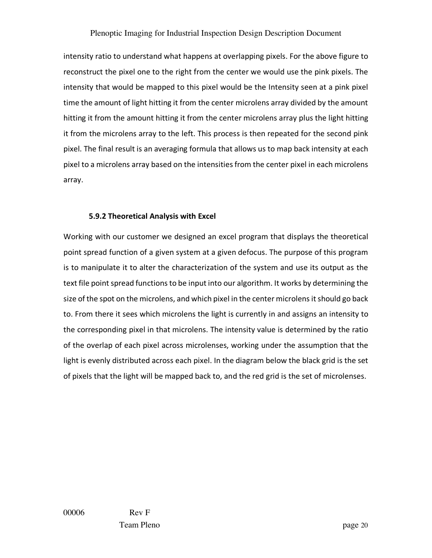intensity ratio to understand what happens at overlapping pixels. For the above figure to reconstruct the pixel one to the right from the center we would use the pink pixels. The intensity that would be mapped to this pixel would be the Intensity seen at a pink pixel time the amount of light hitting it from the center microlens array divided by the amount hitting it from the amount hitting it from the center microlens array plus the light hitting it from the microlens array to the left. This process is then repeated for the second pink pixel. The final result is an averaging formula that allows us to map back intensity at each pixel to a microlens array based on the intensities from the center pixel in each microlens array.

#### **5.9.2 Theoretical Analysis with Excel**

Working with our customer we designed an excel program that displays the theoretical point spread function of a given system at a given defocus. The purpose of this program is to manipulate it to alter the characterization of the system and use its output as the text file point spread functions to be input into our algorithm. It works by determining the size of the spot on the microlens, and which pixel in the center microlens it should go back to. From there it sees which microlens the light is currently in and assigns an intensity to the corresponding pixel in that microlens. The intensity value is determined by the ratio of the overlap of each pixel across microlenses, working under the assumption that the light is evenly distributed across each pixel. In the diagram below the black grid is the set of pixels that the light will be mapped back to, and the red grid is the set of microlenses.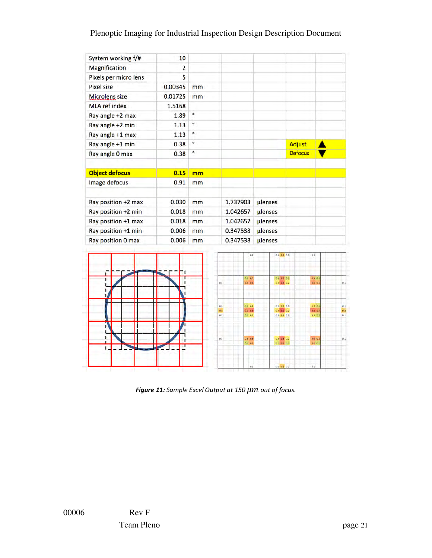| System working f/#    | 10             |           |            |                       |         |                      |                |                      |            |
|-----------------------|----------------|-----------|------------|-----------------------|---------|----------------------|----------------|----------------------|------------|
| Magnification         | $\overline{2}$ |           |            |                       |         |                      |                |                      |            |
| Pixels per micro lens | 5              |           |            |                       |         |                      |                |                      |            |
| Pixel size            | 0.00345        | mm        |            |                       |         |                      |                |                      |            |
| <b>Microlens size</b> | 0.01725        | mm        |            |                       |         |                      |                |                      |            |
| <b>MLA ref index</b>  | 1.5168         |           |            |                       |         |                      |                |                      |            |
| Ray angle +2 max      | 1.89           | ó         |            |                       |         |                      |                |                      |            |
| Ray angle +2 min      | 1.13           | $\bullet$ |            |                       |         |                      |                |                      |            |
| Ray angle +1 max      | 1.13           | $\circ$   |            |                       |         |                      |                |                      |            |
| Ray angle +1 min      | 0.38           | $\circ$   |            |                       |         |                      | <b>Adjust</b>  |                      |            |
| Ray angle 0 max       | 0.38           | o         |            |                       |         |                      | <b>Defocus</b> |                      |            |
| <b>Object defocus</b> | 0.15           | mm        |            |                       |         |                      |                |                      |            |
| Image defocus         | 0.91           | mm        |            |                       |         |                      |                |                      |            |
| Ray position +2 max   | 0.030          | mm        |            | 1.737903              | ulenses |                      |                |                      |            |
| Ray position +2 min   | 0.018          | mm        |            | 1.042657              | µlenses |                      |                |                      |            |
| Ray position +1 max   | 0.018          | mm        |            | 1.042657              | µlenses |                      |                |                      |            |
| Ray position +1 min   | 0.006          | mm        |            | 0.347538              | ulenses |                      |                |                      |            |
| Ray position 0 max    | 0.006          | mm        |            | 0.347538              | µlenses |                      |                |                      |            |
|                       |                |           |            | 0.4                   |         | 01 01 01             |                | 61                   |            |
| Ë<br>ī                | - 1            |           |            | 01 05                 |         | 01 87 67             |                | 85.03                |            |
|                       | ٠              |           | 0.1        | 0.5 0.8               |         | 03 08 02             |                | 0.6 0.1              | 0.4        |
|                       |                |           | 0.1<br>6.3 | 01 02<br>$0.3 - 0.8$  |         | 00 02 00<br>as 14 as |                | $0.2 - 0.9$<br>84.07 | $\alpha$   |
|                       |                |           | 0.1        | $0.1 - 0.2$           |         | 00 07 00             |                | 0.2 0.3              | 0.3<br>0.1 |
| ı<br>L                | 1<br>ı<br>т    |           | 0.1        | <b>05 BB</b><br>01 05 |         | us as us<br>01 07 01 |                | 9603<br><b>66 01</b> | 0.1        |
|                       |                |           |            | 0.1                   |         | 01 01 01             |                | ù1                   |            |

*Figure 11: Sample Excel Output at 150*  $\mu$ *m out of focus.*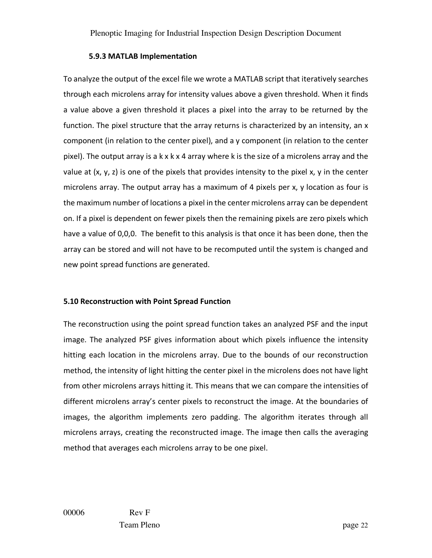#### **5.9.3 MATLAB Implementation**

To analyze the output of the excel file we wrote a MATLAB script that iteratively searches through each microlens array for intensity values above a given threshold. When it finds a value above a given threshold it places a pixel into the array to be returned by the function. The pixel structure that the array returns is characterized by an intensity, an x component (in relation to the center pixel), and a y component (in relation to the center pixel). The output array is a k x k x 4 array where k is the size of a microlens array and the value at  $(x, y, z)$  is one of the pixels that provides intensity to the pixel x, y in the center microlens array. The output array has a maximum of 4 pixels per x, y location as four is the maximum number of locations a pixel in the center microlens array can be dependent on. If a pixel is dependent on fewer pixels then the remaining pixels are zero pixels which have a value of 0,0,0. The benefit to this analysis is that once it has been done, then the array can be stored and will not have to be recomputed until the system is changed and new point spread functions are generated.

#### **5.10 Reconstruction with Point Spread Function**

The reconstruction using the point spread function takes an analyzed PSF and the input image. The analyzed PSF gives information about which pixels influence the intensity hitting each location in the microlens array. Due to the bounds of our reconstruction method, the intensity of light hitting the center pixel in the microlens does not have light from other microlens arrays hitting it. This means that we can compare the intensities of different microlens array's center pixels to reconstruct the image. At the boundaries of images, the algorithm implements zero padding. The algorithm iterates through all microlens arrays, creating the reconstructed image. The image then calls the averaging method that averages each microlens array to be one pixel.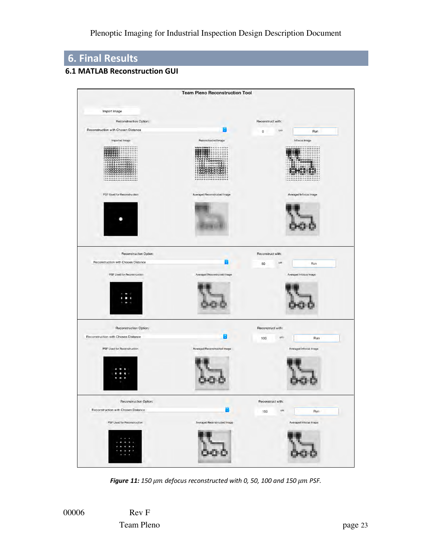## **6. Final Results**

#### **6.1 MATLAB Reconstruction GUI**



*Figure 11: 150 µm defocus reconstructed with 0, 50, 100 and 150 µm PSF.* 

00006 Rev F Team Pleno page 23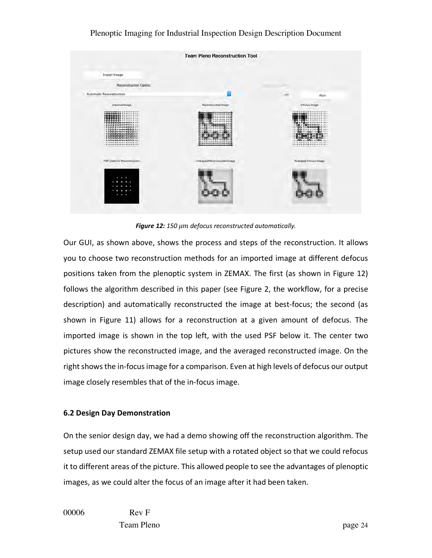

*Figure 12: 150 defocus reconstructed automatically.*

Our GUI, as shown above, shows the process and steps of the reconstruction. It allows you to choose two reconstruction methods for an imported image at different defocus positions taken from the plenoptic system in ZEMAX. The first (as shown in Figure 12) follows the algorithm described in this paper (see Figure 2, the workflow, for a precise description) and automatically reconstructed the image at best-focus; the second (as shown in Figure 11) allows for a reconstruction at a given amount of defocus. The imported image is shown in the top left, with the used PSF below it. The center two pictures show the reconstructed image, and the averaged reconstructed image. On the right shows the in-focusimage for a comparison. Even at high levels of defocus our output image closely resembles that of the in-focus image.

#### **6.2 Design Day Demonstration**

On the senior design day, we had a demo showing off the reconstruction algorithm. The setup used our standard ZEMAX file setup with a rotated object so that we could refocus it to different areas of the picture. This allowed people to see the advantages of plenoptic images, as we could alter the focus of an image after it had been taken.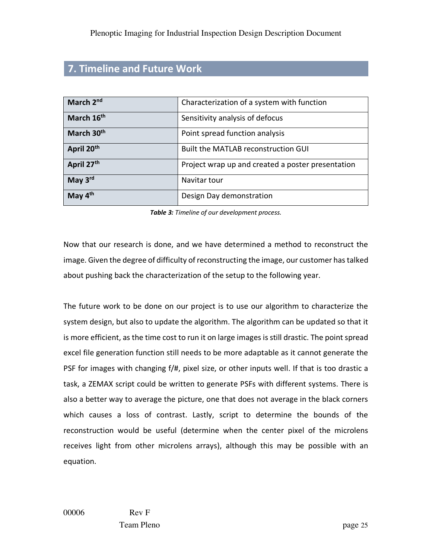## **7. Timeline and Future Work**

| March 2nd              | Characterization of a system with function        |
|------------------------|---------------------------------------------------|
| March 16 <sup>th</sup> | Sensitivity analysis of defocus                   |
| March 30 <sup>th</sup> | Point spread function analysis                    |
| April 20th             | Built the MATLAB reconstruction GUI               |
| April 27th             | Project wrap up and created a poster presentation |
| May 3rd                | Navitar tour                                      |
| May 4 <sup>th</sup>    | Design Day demonstration                          |

*Table 3: Timeline of our development process.*

Now that our research is done, and we have determined a method to reconstruct the image. Given the degree of difficulty of reconstructing the image, our customer has talked about pushing back the characterization of the setup to the following year.

The future work to be done on our project is to use our algorithm to characterize the system design, but also to update the algorithm. The algorithm can be updated so that it is more efficient, as the time cost to run it on large images is still drastic. The point spread excel file generation function still needs to be more adaptable as it cannot generate the PSF for images with changing f/#, pixel size, or other inputs well. If that is too drastic a task, a ZEMAX script could be written to generate PSFs with different systems. There is also a better way to average the picture, one that does not average in the black corners which causes a loss of contrast. Lastly, script to determine the bounds of the reconstruction would be useful (determine when the center pixel of the microlens receives light from other microlens arrays), although this may be possible with an equation.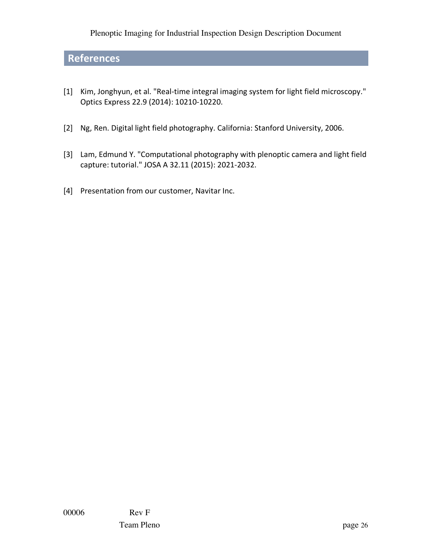## **References**

- [1] Kim, Jonghyun, et al. "Real-time integral imaging system for light field microscopy." Optics Express 22.9 (2014): 10210-10220.
- [2] Ng, Ren. Digital light field photography. California: Stanford University, 2006.
- [3] Lam, Edmund Y. "Computational photography with plenoptic camera and light field capture: tutorial." JOSA A 32.11 (2015): 2021-2032.
- [4] Presentation from our customer, Navitar Inc.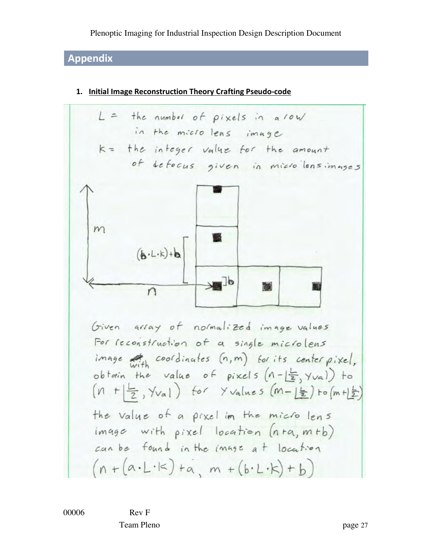## **Appendix**

 $L =$  the number of pixels in a row in the microlens image k = the integer value for the amount of defocus given in microlensimages  $m$  $(A \cdot L \cdot k) + b$  $\mathbb{R}^{\mathbb{R}}$ n Given array of normalized image values For reconstruction of a single microlens image with coordinates (n,m) for its center pixel, obtain the value of pixels  $(n - \frac{L}{2}, \gamma_{va})$  to  $(n + \frac{1}{2}, \frac{1}{1})$  for  $\frac{1}{2}$  values  $(m - \frac{1}{2})$  to  $(m + \frac{1}{2})$ the value of a pixel in the micro lens image with pixel location (nta, mtb) can be found in the image at location  $(n+(a\cdot L\cdot k)+a,m+(b\cdot L\cdot k)+b)$ 

#### **1. Initial Image Reconstruction Theory Crafting Pseudo-code**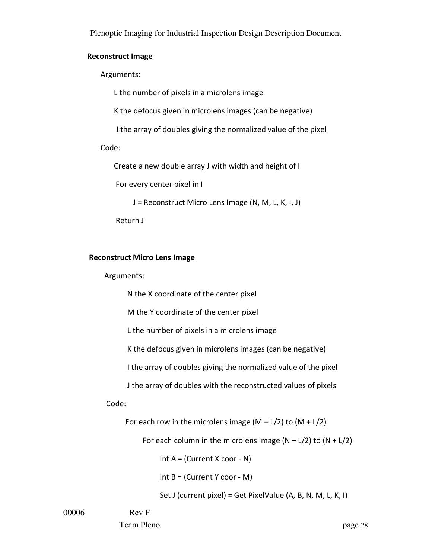#### **Reconstruct Image**

Arguments:

L the number of pixels in a microlens image

K the defocus given in microlens images (can be negative)

I the array of doubles giving the normalized value of the pixel

Code:

Create a new double array J with width and height of I

For every center pixel in I

J = Reconstruct Micro Lens Image (N, M, L, K, I, J)

Return J

#### **Reconstruct Micro Lens Image**

Arguments:

N the X coordinate of the center pixel

M the Y coordinate of the center pixel

L the number of pixels in a microlens image

K the defocus given in microlens images (can be negative)

I the array of doubles giving the normalized value of the pixel

J the array of doubles with the reconstructed values of pixels

Code:

For each row in the microlens image  $(M - L/2)$  to  $(M + L/2)$ 

For each column in the microlens image  $(N - L/2)$  to  $(N + L/2)$ 

Int  $A =$  (Current X coor - N)

Int  $B = (Current Y coor - M)$ 

Set J (current pixel) = Get PixelValue (A, B, N, M, L, K, I)

00006 Rev F

Team Pleno page 28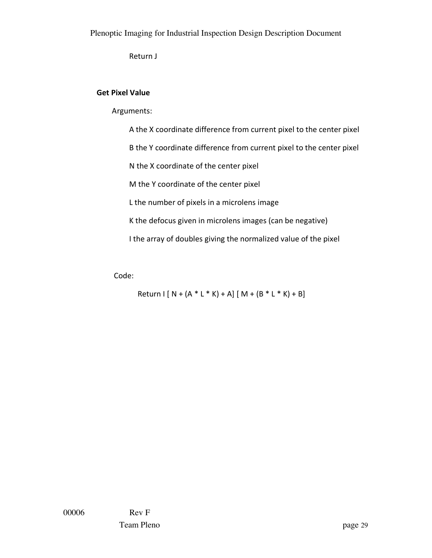Return J

### **Get Pixel Value**

Arguments:

 A the X coordinate difference from current pixel to the center pixel B the Y coordinate difference from current pixel to the center pixel N the X coordinate of the center pixel M the Y coordinate of the center pixel L the number of pixels in a microlens image K the defocus given in microlens images (can be negative) I the array of doubles giving the normalized value of the pixel

Code:

 $Return [ N + (A * L * K) + A] [ M + (B * L * K) + B]$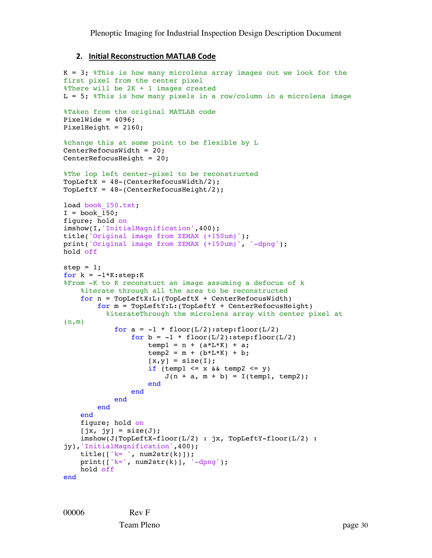#### **2. Initial Reconstruction MATLAB Code**

```
K = 3; F this is how many microlens array images out we look for the
first pixel from the center pixel
%There will be 2K + 1 images created
L = 5; \text{Fhis} is how many pixels in a row/column in a microlens image
%Taken from the original MATLAB code
PixelWide = 4096;
PixelHeight = 2160;
%change this at some point to be flexible by L
CenterRefocusWidth = 20;
CenterRefocusHeight = 20;
%The lop left center-pixel to be reconstructed
TopLeftX = 48-(CenterRefocusWidth/2);TopLeftY = 48-(CenterRefocusHeight/2);load book 150.txt;
I = book 150;figure; hold on
imshow(I,'InitialMagnification',400);
title('Original image from ZEMAX (+150um)');
print('Original image from ZEMAX (+150um)', '-dpng');
hold off
step = 1;for k = -1*K:step:K%From -K to K reconstuct an image assuming a defocus of k
     %iterate through all the area to be reconstructed
    for n = \text{TopLeftX:L: (TopLeftX + CenterRefocusWidth)}for m = \text{TopLeftY:}L:(\text{TopLeftY + CenterRefocusHeight}) %iterateThrough the microlens array with center pixel at 
(n,m)
             for a = -1 * floor(L/2):step: floor(L/2)
                 for b = -1 * floor(L/2) : step: floor(L/2)temp1 = n + (a * L * K) + a;temp2 = m + (b * L * K) + b;[x,y] = size(I);if (templ \leq x \leq x templ \leq y)
                         J(n + a, m + b) = I(\text{temp1}, \text{temp2}); end
                  end 
              end
         end
     end
     figure; hold on
    [jx, jy] = size(J); imshow(J(TopLeftX-floor(L/2) : jx, TopLeftY-floor(L/2) : 
jy),'InitialMagnification',400);
    title([ 'k= ', num2str(k)]);
    print([k=', num2str(k)], '-dpng');
     hold off
end
```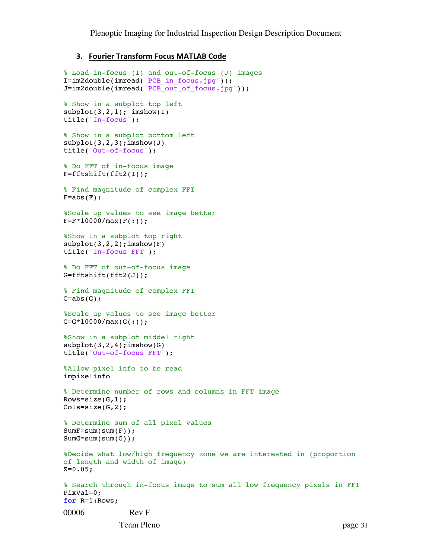#### **3. Fourier Transform Focus MATLAB Code**

```
00006 Rev F
% Load in-focus (I) and out-of-focus (J) images
I=im2double(imread('PCB_in_focus.jpg'));
J=im2double(imread('PCB_out_of_focus.jpg'));
% Show in a subplot top left
subplot(3,2,1); imshow(I)
title('In-focus');
% Show in a subplot bottom left
subplot(3,2,3);imshow(J)title('Out-of-focus');
% Do FFT of in-focus image
F=fftshift(fft2(I)); 
% Find magnitude of complex FFT
F=abs(F);%Scale up values to see image better
F=F*10000/max(F(:));%Show in a subplot top right
subplot(3,2,2);imshow(F)
title('In-focus FFT');
% Do FFT of out-of-focus image
G=fftshift(fft2(J)); 
% Find magnitude of complex FFT
G=abs(G);%Scale up values to see image better
G=G*10000/max(G(:));%Show in a subplot middel right
subplot(3,2,4);imshow(G)
title('Out-of-focus FFT');
%Allow pixel info to be read
impixelinfo
% Determine number of rows and columns in FFT image
Rows=size(G, 1);
Cols = size(G, 2);% Determine sum of all pixel values
SumF=sum(sum(F));
SumG=sum(sum(G));
%Decide what low/high frequency zone we are interested in (proportion 
of length and width of image)
Z=0.05;% Search through in-focus image to sum all low frequency pixels in FFT
PixVal=0;
for R=1:Rows;
```
Team Pleno page 31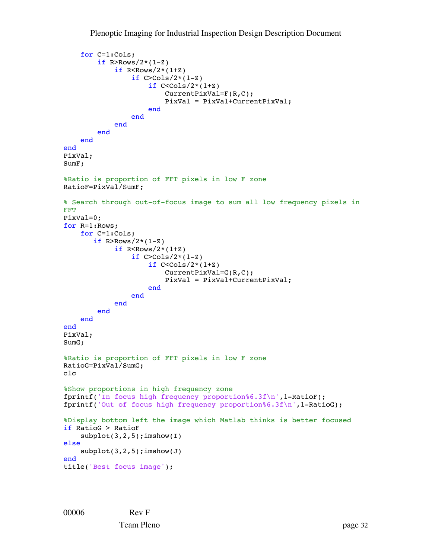```
 for C=1:Cols;
        if R>Rows/2*(1-Z)if R<Rows/2*(1+Z)
                 if C > Cols/2*(1-Z)if C < Cols/2*(1+Z) CurrentPixVal=F(R,C);
                          PixVal = PixVal+CurrentPixVal;
                      end
                  end
             end
         end
     end
end
PixVal;
SumF;
%Ratio is proportion of FFT pixels in low F zone
RatioF=PixVal/SumF;
% Search through out-of-focus image to sum all low frequency pixels in 
FFT
PixVal=0;
for R=1:Rows;
     for C=1:Cols;
       if R>Rows/2*(1-Z)if R<Rows/2*(1+Z)
                 if C > Cols/2*(1-Z)if C < Cols/2*(1+Z) CurrentPixVal=G(R,C);
                          PixVal = PixVal+CurrentPixVal;
                      end
                  end
             end
         end
     end
end
PixVal;
SumG;
%Ratio is proportion of FFT pixels in low F zone
RatioG=PixVal/SumG;
clc
%Show proportions in high frequency zone
fprintf('In focus high frequency proportion%6.3f\n',1-RatioF);
fprintf('Out of focus high frequency proportion%6.3f\n',1-RatioG);
%Display bottom left the image which Matlab thinks is better focused
if RatioG > RatioF
    subplot(3,2,5);imshow(I)else
    subplot(3,2,5);imshow(J)end
title('Best focus image');
```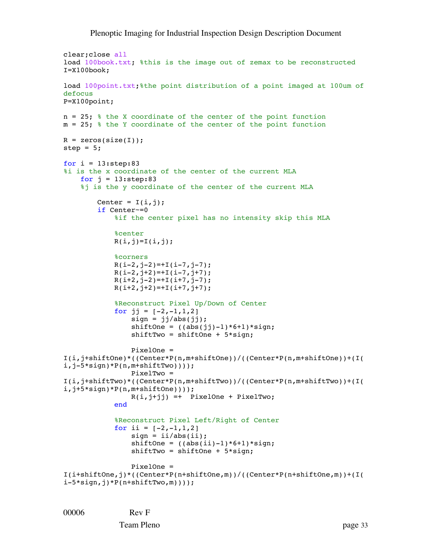```
clear;close all
load 100book.txt; %this is the image out of zemax to be reconstructed
I=X100book;
load 100point.txt; the point distribution of a point imaged at 100um of
defocus
P=X100point;
n = 25; % the X coordinate of the center of the point function
m = 25; % the Y coordinate of the center of the point function
R = zeros(size(I));step = 5;for i = 13:step:83%i is the x coordinate of the center of the current MLA
    for j = 13:step:83%j is the y coordinate of the center of the current MLA
        Center = I(i,j);
         if Center~=0 
            %if the center pixel has no intensity skip this MLA
             %center
            R(i,j)=I(i,j); %corners
            R(i-2, j-2) = +I(i-7, j-7);R(i-2,j+2)=+I(i-7,j+7);R(i+2, j-2) = +I(i+7, j-7);R(i+2,j+2)=+I(i+7,j+7); %Reconstruct Pixel Up/Down of Center
            for j = [-2, -1, 1, 2]sign = jj/abs(jj);shiftOne = ((abs(jj)-1)*6+1)*sign; shiftTwo = shiftOne + 5*sign;
                 PixelOne = 
I(i,j+shiftOne)*((Center*P(n,m+shiftOne))/((Center*P(n,m+shiftOne))+(I(
i, j-5*sign)*P(n, m+shiftTwo))));
                 PixelTwo = 
I(i,j+shiftTwo)*((Center*P(n,m+shiftTwo))/((Center*P(n,m+shiftTwo))+(I(
i,j+5*sign)*P(n,m+shiftOne))));
                R(i,j+jj) =+ PixelOne + PixelTwo;
             end
             %Reconstruct Pixel Left/Right of Center
            for ii = [-2,-1,1,2]sign = ii/abs(ii);shiftOne = ((abs(ii)-1)*(6+1)*sign; shiftTwo = shiftOne + 5*sign;
                PixelOne = 
I(i+shiftOne,j)*((Center*P(n+shiftOne,m))/((Center*P(n+shiftOne,m))+(I(
i-5*sign, j)*P(n+shiftTwo,m)));
```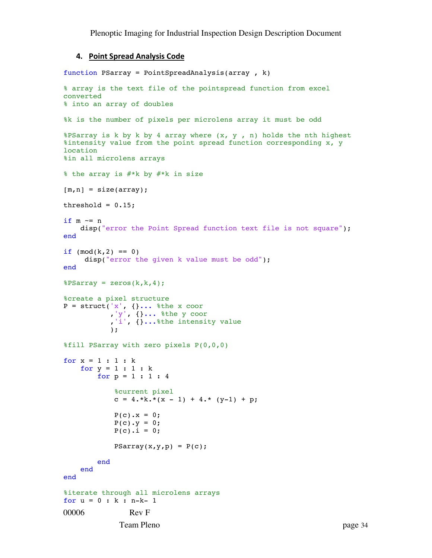#### **4. Point Spread Analysis Code**

```
00006 Rev F
            Team Pleno page 34
function PSarray = PointSpreadAnalysis(array , k)
% array is the text file of the pointspread function from excel 
converted
% into an array of doubles
%k is the number of pixels per microlens array it must be odd
%PSarray is k by k by 4 array where (x, y, n) holds the nth highest
%intensity value from the point spread function corresponding x, y 
location
%in all microlens arrays
% the array is #*k by #*k in size
[m,n] = size(array);
threshold = 0.15;
if m \sim = n disp("error the Point Spread function text file is not square"); 
end
if (mod(k,2) == 0)disp("error the given k value must be odd");
end
8PSarray = zeros(k, k, 4);
%create a pixel structure
P = struct('x', \{\}... %the x coor
 ,'y', {}... %the y coor
 ,'i', {}...%the intensity value
           );
%fill PSarray with zero pixels P(0,0,0)
for x = 1 : 1 : kfor y = 1 : 1 : kfor p = 1 : 1 : 4 %current pixel
           c = 4.*k.*( x - 1) + 4.* (y-1) + p;P(c). x = 0;P(c) \cdot y = 0;P(c). i = 0;PSarray(x,y,p) = P(c); end
    end
end
%iterate through all microlens arrays 
for u = 0 : k : n-k-1
```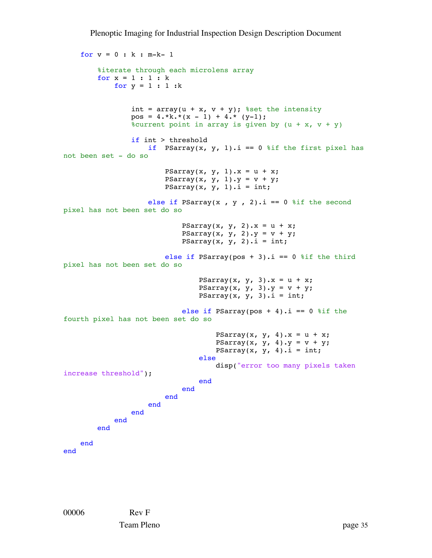```
for v = 0 : k : m-k-1 %iterate through each microlens array
          for x = 1 : 1 : kfor y = 1 : 1 : kint = array(u + x, v + y); & set the intensity
                     pos = 4.*k.*( x - 1) + 4.* (y-1);%current point in array is given by (u + x, v + y)if int > threshold
                          if PSarray(x, y, 1).i == 0 % if the first pixel has
not been set - do so
                               PSarray(x, y, 1).x = u + x;
                               PSarray(x, y, 1).y = v + y;
                               PSarray(x, y, 1).i = int;
                          else if PSarray(x, y, 2).i == 0 % if the second
pixel has not been set do so
                                     PSarray(x, y, 2).x = u + x;
                                     PSarray(x, y, 2).y = v + y;
                                     PSarray(x, y, 2).i = int;
                               else if PSarray(pos + 3).i == 0 % if the third
pixel has not been set do so
                                          PSarray(x, y, 3).x = u + x;
                                          PSarray(x, y, 3).y = v + y;
                                          PSarray(x, y, 3).i = int;
                                     else if PSarray(pos + 4).i == 0 % if the
fourth pixel has not been set do so
                                               PSarray(x, y, 4).x = u + x;
                                               PSarray(x, y, 4).y = v + y;
                                          PSarray(x, y, 4).i = int;<br>else
else belgische belgische Roman en der Stadt und der Stadt und der Stadt und der Stadt und der Stadt und der St
                                                disp("error too many pixels taken 
increase threshold");
end and the contract of the contract of the contract of the contract of the contract of the contract of the con
end and the contract of the contract of the contract of the contract of the contract of the contract of the con
end and the contract of the contract of the contract of the contract of the contract of the contract of the con
                           end
                      end
                end
           end
      end
end
```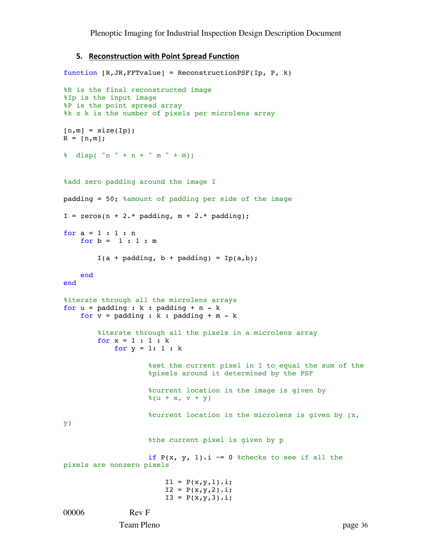#### **5. Reconstruction with Point Spread Function**

```
00006 Rev F
function [R,JR,FFTvalue] = ReconstructionPSF(Ip, P, k)
%R is the final reconstructed image
%Ip is the input image
%P is the point spread array
%k x k is the number of pixels per microlens array
[n,m] = size(Ip);R = [n,m];\sinh(\theta) disp( "n " + n + " m " + m);
%add zero padding around the image I
padding = 50; %amount of padding per side of the image
I = zeros(n + 2.* padding, m + 2.* padding);for a = 1 : 1 : nfor b = 1 : 1 : mI(a + padding, b + padding) = Ip(a,b); end
end
%iterate through all the microlens arrays
for u = padding : k : padding + n - kfor v = padding : k : padding + m - k %iterate through all the pixels in a microlens array
        for x = 1 : 1 : kfor y = 1: 1: k%set the current pixel in I to equal the sum of the
                    %pixels around it determined by the PSF
                    %current location in the image is given by 
                    *(u + x, v + y))%current location in the microlens is given by (x, 
y)
                    %the current pixel is given by p
                    if P(x, y, 1).i ~= 0 %checks to see if all the
pixels are nonzero pixels
                        I1 = P(x,y,1).i;I2 = P(x,y,2) \cdot i;I3 = P(x,y,3).i;
```
Team Pleno page 36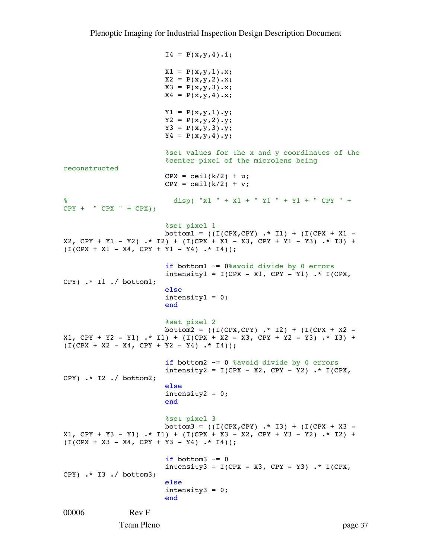```
00006 Rev F
              Team Pleno page 37
                          I4 = P(x,y,4).i;X1 = P(x,y,1) \cdot x;X2 = P(x,y,2) \cdot x;X3 = P(X, Y, 3) \cdot X;X4 = P(x,y,4) \cdot x;Y1 = P(x,y,1) \cdot Y;YZ = P(X, Y, 2) \cdot Y;Y3 = P(x,y,3) \cdot Y;Y4 = P(x,y,4) \cdot Y;%set values for the x and y coordinates of the
                          %center pixel of the microlens being 
reconstructed
                          CPX = \text{ceil}(k/2) + u;CPY = \text{ceil}(k/2) + v;% disp( "X1 " + X1 + " Y1 " + Y1 + " CPY " + 
CPY + "CPX " + CPX);%set pixel 1
                          bottom1 = ((I(CPX, CPY) .* I1) + (I(CPX + X1 -X2, CPY + Y1 - Y2) .* I2) + (I(CPX + X1 - X3, CPY + Y1 - Y3) .* I3) +
(I(CPX + X1 - X4, CPY + Y1 - Y4) .* I4));
                          if bottom1 \sim= 0% avoid divide by 0 errors
                          intensity1 = I(CPX - X1, CPY - Y1) .* I(CPX,CPY) .* I1 ./ bottom1;
                           else
                          intensity1 = 0;end and the contract of the contract of the contract of the contract of the contract of the contract of the con
                          %set pixel 2
                          bottom2 = ((I(CPX, CPY) .* I2) + (I(CPX + X2 -X1, CPY + Y2 - Y1) .* I1) + (I(CPX + X2 - X3, CPY + Y2 - Y3) .* I3) +
(I(CPX + X2 - X4, CPY + Y2 - Y4) .* I4));
                          if bottom2 \sim = 0 % avoid divide by 0 errors
                          intensity2 = I(CPX - X2, CPY - Y2). * I(CPX, PY)CPY) .* I2 ./ bottom2;
                           else
                          intensity2 = 0;end
                          %set pixel 3
                          bottom3 = ((I(CPX, CPY) .* I3) + (I(CPX + X3 -X1, CPY + Y3 - Y1) .* I1) + (I(CPX + X3 - X2, CPY + Y3 - Y2) .* I2) +
(I(CPX + X3 - X4, CPY + Y3 - Y4) . * I4));
                          if bottom3 \sim= 0
                          intensity3 = I(CPX - X3, CPY - Y3). * I(CPX, Y)CPY) .* I3 ./ bottom3;
                           else
                          intensity3 = 0;end
```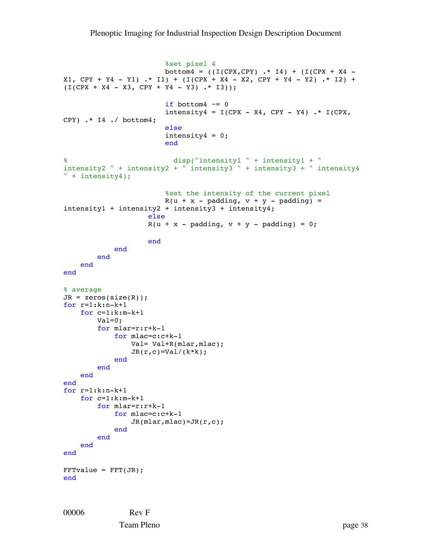```
%set pixel 4
                        bottom4 = ((I(CPX, CPY) .* I4) + (I(CPX + X4 -X1, CPY + Y4 - Y1) .* I1) + (I(CPX + X4 - X2, CPY + Y4 - Y2) .* I2) +
(I(CPX + X4 - X3, CPY + Y4 - Y3) . * I3));
                        if bottom4 \sim= 0intensity4 = I(CPX - X4, CPY - Y4) .* I(CPX,CPY) .* I4 ./ bottom4;
                         else
                        intensity4 = 0;end
% disp("intensity1 " + intensity1 + " 
intensity2 " + intensity2 + " intensity3 " + intensity3 + " intensity4 
" + intensity4);
                        %set the intensity of the current pixel
                        R(u + x - padding, v + y - padding) =intensity1 + intensity2 + intensity3 + intensity4;
                     else
                    R(u + x - padding, v + y - padding) = 0; end
             end
         end 
    end
end
% average
JR = zeros(size(R));for r=1:k:n-k+1
     for c=1:k:m-k+1
         Val=0;
         for mlar=r:r+k-1
             for mlac=c:c+k-1
                 Val= Val+R(mlar,mlac);
                JR(r,c)=Val/(k*k); end
         end
     end
end
for r=1:k:n-k+1
     for c=1:k:m-k+1
         for mlar=r:r+k-1
             for mlac=c:c+k-1
                JR(mlar,mlac)=JR(r,c); end
         end
     end
end
FFTvalue = FFT(JR);end
```
00006 Rev F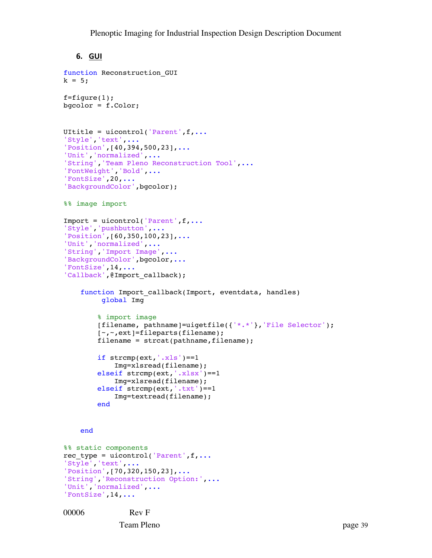#### **6. GUI**

```
function Reconstruction_GUI
k = 5;f = figure(1);bgcolor = f.Color; 
UItitle = uicontrol('Parent', f,...
'Style','text',...
'Position',[40,394,500,23],...
'Unit','normalized',...
'String','Team Pleno Reconstruction Tool',...
'FontWeight','Bold',...
'FontSize',20,...
'BackgroundColor',bgcolor);
%% image import
Import = uicontrol('Parent',f,...
'Style','pushbutton',...
'Position',[60,350,100,23],...
'Unit','normalized',...
'String','Import Image',...
'BackgroundColor', bgcolor, ...
'FontSize',14,...
'Callback',@Import_callback);
    function Import callback(Import, eventdata, handles)
          global Img
         % import image
         [filename, pathname]=uigetfile({'*.*'},'File Selector');
         [~,~,ext]=fileparts(filename);
        filename = struct(pathname, filename);
        if strong(ext, '..xls') == 1 Img=xlsread(filename);
         elseif strcmp(ext,'.xlsx')==1
             Img=xlsread(filename);
         elseif strcmp(ext,'.txt')==1
             Img=textread(filename); 
         end
     end
%% static components
rec type = uicontrol('Parent',f,...
'Style','text',...
'Position',[70,320,150,23],...
'String','Reconstruction Option:',...
'Unit', 'normalized', ...
'FontSize',14,...
```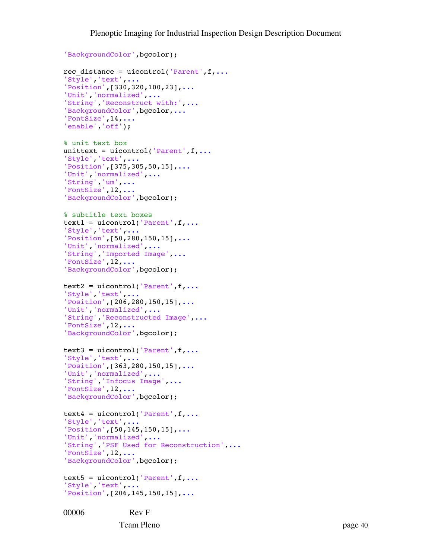```
'BackgroundColor',bgcolor);
rec distance = uicontrol('Parent',f,...
'Style','text',...
'Position',[330,320,100,23],...
'Unit','normalized',...
'String','Reconstruct with:',...
'BackgroundColor', bgcolor, ...
'FontSize',14,...
'enable','off');
% unit text box
unittext = uicontrol('Parent',f,...
'Style','text',...
'Position',[375,305,50,15],...
'Unit','normalized',...
'String','um',...
'FontSize',12,...
'BackgroundColor',bgcolor);
% subtitle text boxes
text1 = uicontrol('Parent', f, ...'Style','text',...
'Position',[50,280,150,15],...
'Unit','normalized',...
'String','Imported Image',...
'FontSize',12,...
'BackgroundColor',bgcolor);
text2 = uicontrol('Parent',f,...
'Style','text',...
'Position',[206,280,150,15],...
'Unit','normalized',...
'String','Reconstructed Image',...
'FontSize',12,...
'BackgroundColor', bgcolor);
text3 = uicontrol('Parent',f,...
'Style','text',...
'Position',[363,280,150,15],...
'Unit','normalized',...
'String','Infocus Image',...
'FontSize',12,...
'BackgroundColor',bgcolor);
text4 = uicontrol('Parent', f, ...'Style','text',...
'Position',[50,145,150,15],...
'Unit','normalized',...
'String','PSF Used for Reconstruction',...
'FontSize',12,...
'BackgroundColor',bgcolor);
text5 = uicontrol('Parent', f, ...'Style','text',...
'Position',[206,145,150,15],...
```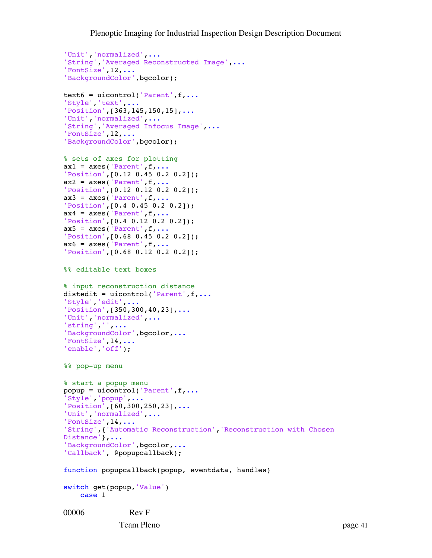```
00006 Rev F
'Unit','normalized',...
'String','Averaged Reconstructed Image',...
'FontSize',12,...
'BackgroundColor',bgcolor);
text6 = uicontrol('Parent', f, ...'Style','text',...
'Position',[363,145,150,15],...
'Unit','normalized',...
'String','Averaged Infocus Image',...
'FontSize',12,...
'BackgroundColor',bgcolor);
% sets of axes for plotting
ax1 = axes('Parent', f, ...'Position',[0.12 0.45 0.2 0.2]);
ax2 = axes('Parent', f, ...'Position',[0.12 0.12 0.2 0.2]);
ax3 = axes('Parent', f, ...'Position',[0.4 0.45 0.2 0.2]);
ax4 = axes('Parent', f, \ldots)'Position',[0.4 0.12 0.2 0.2]);
ax5 = axes('Parent', f, \ldots)'Position',[0.68 0.45 0.2 0.2]);
ax6 = axes('Parent', f, ...'Position',[0.68 0.12 0.2 0.2]);
%% editable text boxes
% input reconstruction distance
distedit = uicontrol('Parent',f,...
'Style','edit',...
'Position',[350,300,40,23],...
'Unit','normalized',...
'string','',...
'BackgroundColor', bgcolor, ...
'FontSize',14,...
'enable','off');
%% pop-up menu
% start a popup menu
popup = uicontrol('Parent', f, ...'Style','popup',...
'Position',[60,300,250,23],...
'Unit','normalized',...
'FontSize',14,...
'String',{'Automatic Reconstruction','Reconstruction with Chosen 
Distance'},...
'BackgroundColor', bgcolor, ...
'Callback', @popupcallback);
function popupcallback(popup, eventdata, handles) 
switch get(popup,'Value') 
     case 1
```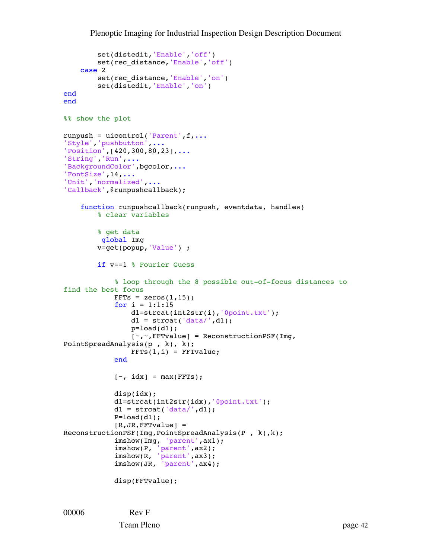```
 set(distedit,'Enable','off')
        set(rec_distance,'Enable','off')
     case 2
         set(rec_distance,'Enable','on')
         set(distedit,'Enable','on')
end
end
%% show the plot
runpush = uicontrol('Parent', f, ...'Style','pushbutton',...
'Position',[420,300,80,23],...
'String','Run',...
'BackgroundColor', bgcolor, ...
'FontSize',14,...
'Unit','normalized',...
'Callback',@runpushcallback);
     function runpushcallback(runpush, eventdata, handles)
         % clear variables
         % get data
          global Img
         v=get(popup,'Value') ;
         if v==1 % Fourier Guess
             % loop through the 8 possible out-of-focus distances to 
find the best focus
            FFTs = zeros(1, 15);
            for i = 1:1:15 d1=strcat(int2str(i),'0point.txt');
                d1 = strcat('data/',d1);
                p = load(d1);
                 [~,~,FFTvalue] = ReconstructionPSF(Img, 
PointSpreadAnalysis(p , k), k);
                FFTs(1,i) = FFTvalue; end
            [\sim, \text{idx}] = \text{max}(\text{FFTs}); disp(idx);
             d1=strcat(int2str(idx),'0point.txt');
            d1 = strcat(ddt = (ddt)^{\prime},d1);
            P=load(d1);
            [R, JR, FFTvalue] =ReconstructionPSF(Img,PointSpreadAnalysis(P , k),k);
             imshow(Img, 'parent',ax1);
imshow(P, 'parent', ax2);
imshow(R, 'parent', ax3);
             imshow(JR, 'parent',ax4);
             disp(FFTvalue);
```